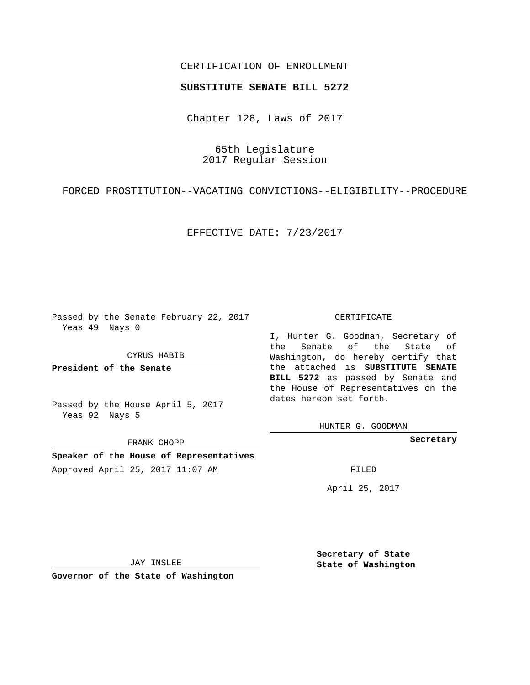## CERTIFICATION OF ENROLLMENT

## **SUBSTITUTE SENATE BILL 5272**

Chapter 128, Laws of 2017

65th Legislature 2017 Regular Session

FORCED PROSTITUTION--VACATING CONVICTIONS--ELIGIBILITY--PROCEDURE

EFFECTIVE DATE: 7/23/2017

Passed by the Senate February 22, 2017 Yeas 49 Nays 0

CYRUS HABIB

**President of the Senate**

Passed by the House April 5, 2017 Yeas 92 Nays 5

FRANK CHOPP

**Speaker of the House of Representatives** Approved April 25, 2017 11:07 AM FILED

## CERTIFICATE

I, Hunter G. Goodman, Secretary of the Senate of the State of Washington, do hereby certify that the attached is **SUBSTITUTE SENATE BILL 5272** as passed by Senate and the House of Representatives on the dates hereon set forth.

HUNTER G. GOODMAN

**Secretary**

April 25, 2017

JAY INSLEE

**Governor of the State of Washington**

**Secretary of State State of Washington**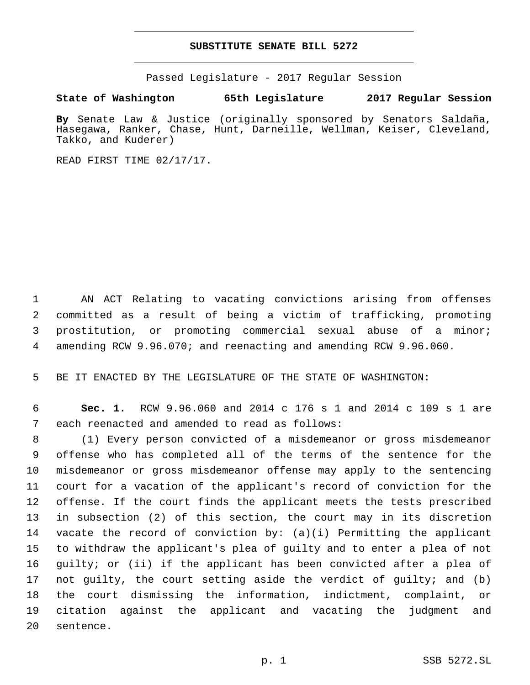## **SUBSTITUTE SENATE BILL 5272**

Passed Legislature - 2017 Regular Session

**State of Washington 65th Legislature 2017 Regular Session**

**By** Senate Law & Justice (originally sponsored by Senators Saldaña, Hasegawa, Ranker, Chase, Hunt, Darneille, Wellman, Keiser, Cleveland, Takko, and Kuderer)

READ FIRST TIME 02/17/17.

 AN ACT Relating to vacating convictions arising from offenses committed as a result of being a victim of trafficking, promoting prostitution, or promoting commercial sexual abuse of a minor; amending RCW 9.96.070; and reenacting and amending RCW 9.96.060.

BE IT ENACTED BY THE LEGISLATURE OF THE STATE OF WASHINGTON:

 **Sec. 1.** RCW 9.96.060 and 2014 c 176 s 1 and 2014 c 109 s 1 are 7 each reenacted and amended to read as follows:

 (1) Every person convicted of a misdemeanor or gross misdemeanor offense who has completed all of the terms of the sentence for the misdemeanor or gross misdemeanor offense may apply to the sentencing court for a vacation of the applicant's record of conviction for the offense. If the court finds the applicant meets the tests prescribed in subsection (2) of this section, the court may in its discretion 14 vacate the record of conviction by:  $(a)(i)$  Permitting the applicant to withdraw the applicant's plea of guilty and to enter a plea of not guilty; or (ii) if the applicant has been convicted after a plea of not guilty, the court setting aside the verdict of guilty; and (b) the court dismissing the information, indictment, complaint, or citation against the applicant and vacating the judgment and 20 sentence.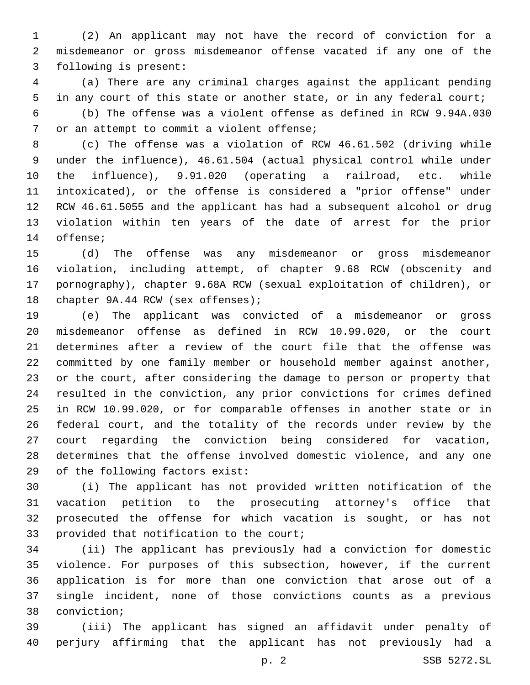(2) An applicant may not have the record of conviction for a misdemeanor or gross misdemeanor offense vacated if any one of the 3 following is present:

 (a) There are any criminal charges against the applicant pending in any court of this state or another state, or in any federal court; (b) The offense was a violent offense as defined in RCW 9.94A.030 7 or an attempt to commit a violent offense;

 (c) The offense was a violation of RCW 46.61.502 (driving while under the influence), 46.61.504 (actual physical control while under the influence), 9.91.020 (operating a railroad, etc. while intoxicated), or the offense is considered a "prior offense" under RCW 46.61.5055 and the applicant has had a subsequent alcohol or drug violation within ten years of the date of arrest for the prior 14 offense;

 (d) The offense was any misdemeanor or gross misdemeanor violation, including attempt, of chapter 9.68 RCW (obscenity and pornography), chapter 9.68A RCW (sexual exploitation of children), or 18 chapter 9A.44 RCW (sex offenses);

 (e) The applicant was convicted of a misdemeanor or gross misdemeanor offense as defined in RCW 10.99.020, or the court determines after a review of the court file that the offense was committed by one family member or household member against another, or the court, after considering the damage to person or property that resulted in the conviction, any prior convictions for crimes defined in RCW 10.99.020, or for comparable offenses in another state or in federal court, and the totality of the records under review by the court regarding the conviction being considered for vacation, determines that the offense involved domestic violence, and any one 29 of the following factors exist:

 (i) The applicant has not provided written notification of the vacation petition to the prosecuting attorney's office that prosecuted the offense for which vacation is sought, or has not 33 provided that notification to the court;

 (ii) The applicant has previously had a conviction for domestic violence. For purposes of this subsection, however, if the current application is for more than one conviction that arose out of a single incident, none of those convictions counts as a previous 38 conviction;

 (iii) The applicant has signed an affidavit under penalty of perjury affirming that the applicant has not previously had a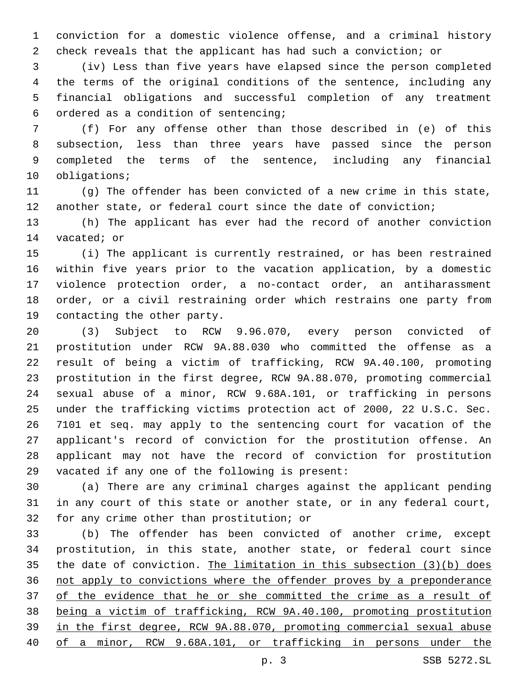conviction for a domestic violence offense, and a criminal history check reveals that the applicant has had such a conviction; or

 (iv) Less than five years have elapsed since the person completed the terms of the original conditions of the sentence, including any financial obligations and successful completion of any treatment ordered as a condition of sentencing;6

 (f) For any offense other than those described in (e) of this subsection, less than three years have passed since the person completed the terms of the sentence, including any financial 10 obligations;

 (g) The offender has been convicted of a new crime in this state, another state, or federal court since the date of conviction;

 (h) The applicant has ever had the record of another conviction 14 vacated; or

 (i) The applicant is currently restrained, or has been restrained within five years prior to the vacation application, by a domestic violence protection order, a no-contact order, an antiharassment order, or a civil restraining order which restrains one party from 19 contacting the other party.

 (3) Subject to RCW 9.96.070, every person convicted of prostitution under RCW 9A.88.030 who committed the offense as a result of being a victim of trafficking, RCW 9A.40.100, promoting prostitution in the first degree, RCW 9A.88.070, promoting commercial sexual abuse of a minor, RCW 9.68A.101, or trafficking in persons under the trafficking victims protection act of 2000, 22 U.S.C. Sec. 7101 et seq. may apply to the sentencing court for vacation of the applicant's record of conviction for the prostitution offense. An applicant may not have the record of conviction for prostitution 29 vacated if any one of the following is present:

 (a) There are any criminal charges against the applicant pending in any court of this state or another state, or in any federal court, 32 for any crime other than prostitution; or

 (b) The offender has been convicted of another crime, except prostitution, in this state, another state, or federal court since the date of conviction. The limitation in this subsection (3)(b) does not apply to convictions where the offender proves by a preponderance 37 of the evidence that he or she committed the crime as a result of being a victim of trafficking, RCW 9A.40.100, promoting prostitution in the first degree, RCW 9A.88.070, promoting commercial sexual abuse of a minor, RCW 9.68A.101, or trafficking in persons under the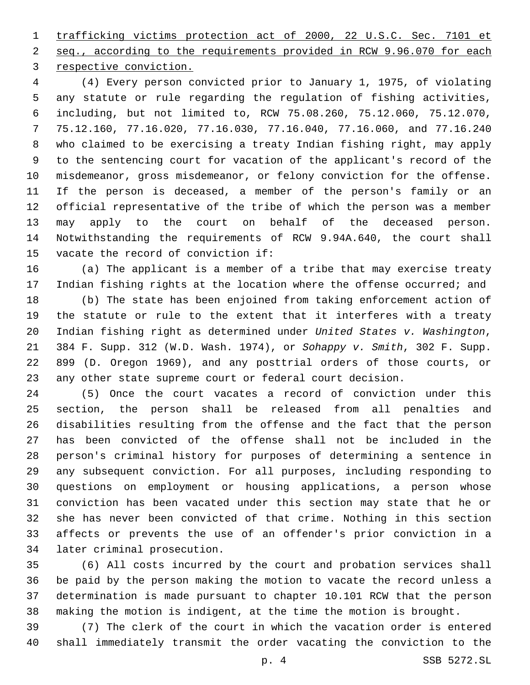trafficking victims protection act of 2000, 22 U.S.C. Sec. 7101 et seq., according to the requirements provided in RCW 9.96.070 for each 3 respective conviction.

 (4) Every person convicted prior to January 1, 1975, of violating any statute or rule regarding the regulation of fishing activities, including, but not limited to, RCW 75.08.260, 75.12.060, 75.12.070, 75.12.160, 77.16.020, 77.16.030, 77.16.040, 77.16.060, and 77.16.240 who claimed to be exercising a treaty Indian fishing right, may apply to the sentencing court for vacation of the applicant's record of the misdemeanor, gross misdemeanor, or felony conviction for the offense. If the person is deceased, a member of the person's family or an official representative of the tribe of which the person was a member may apply to the court on behalf of the deceased person. Notwithstanding the requirements of RCW 9.94A.640, the court shall 15 vacate the record of conviction if:

 (a) The applicant is a member of a tribe that may exercise treaty Indian fishing rights at the location where the offense occurred; and

 (b) The state has been enjoined from taking enforcement action of the statute or rule to the extent that it interferes with a treaty Indian fishing right as determined under *United States v. Washington*, 384 F. Supp. 312 (W.D. Wash. 1974), or *Sohappy v. Smith*, 302 F. Supp. 899 (D. Oregon 1969), and any posttrial orders of those courts, or any other state supreme court or federal court decision.

 (5) Once the court vacates a record of conviction under this section, the person shall be released from all penalties and disabilities resulting from the offense and the fact that the person has been convicted of the offense shall not be included in the person's criminal history for purposes of determining a sentence in any subsequent conviction. For all purposes, including responding to questions on employment or housing applications, a person whose conviction has been vacated under this section may state that he or she has never been convicted of that crime. Nothing in this section affects or prevents the use of an offender's prior conviction in a 34 later criminal prosecution.

 (6) All costs incurred by the court and probation services shall be paid by the person making the motion to vacate the record unless a determination is made pursuant to chapter 10.101 RCW that the person making the motion is indigent, at the time the motion is brought.

 (7) The clerk of the court in which the vacation order is entered shall immediately transmit the order vacating the conviction to the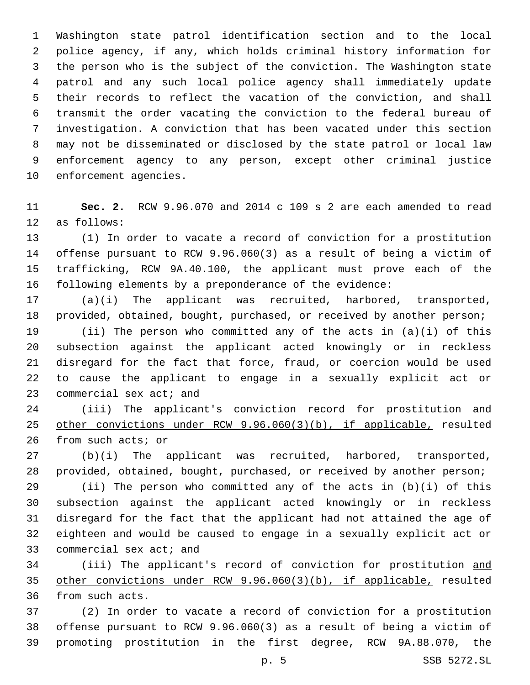Washington state patrol identification section and to the local police agency, if any, which holds criminal history information for the person who is the subject of the conviction. The Washington state patrol and any such local police agency shall immediately update their records to reflect the vacation of the conviction, and shall transmit the order vacating the conviction to the federal bureau of investigation. A conviction that has been vacated under this section may not be disseminated or disclosed by the state patrol or local law enforcement agency to any person, except other criminal justice 10 enforcement agencies.

 **Sec. 2.** RCW 9.96.070 and 2014 c 109 s 2 are each amended to read 12 as follows:

 (1) In order to vacate a record of conviction for a prostitution offense pursuant to RCW 9.96.060(3) as a result of being a victim of trafficking, RCW 9A.40.100, the applicant must prove each of the following elements by a preponderance of the evidence:

 (a)(i) The applicant was recruited, harbored, transported, provided, obtained, bought, purchased, or received by another person;

 (ii) The person who committed any of the acts in (a)(i) of this subsection against the applicant acted knowingly or in reckless disregard for the fact that force, fraud, or coercion would be used to cause the applicant to engage in a sexually explicit act or 23 commercial sex act; and

 (iii) The applicant's conviction record for prostitution and other convictions under RCW 9.96.060(3)(b), if applicable, resulted 26 from such acts; or

 (b)(i) The applicant was recruited, harbored, transported, provided, obtained, bought, purchased, or received by another person;

 (ii) The person who committed any of the acts in (b)(i) of this subsection against the applicant acted knowingly or in reckless disregard for the fact that the applicant had not attained the age of eighteen and would be caused to engage in a sexually explicit act or 33 commercial sex act; and

34 (iii) The applicant's record of conviction for prostitution and other convictions under RCW 9.96.060(3)(b), if applicable, resulted 36 from such acts.

 (2) In order to vacate a record of conviction for a prostitution offense pursuant to RCW 9.96.060(3) as a result of being a victim of promoting prostitution in the first degree, RCW 9A.88.070, the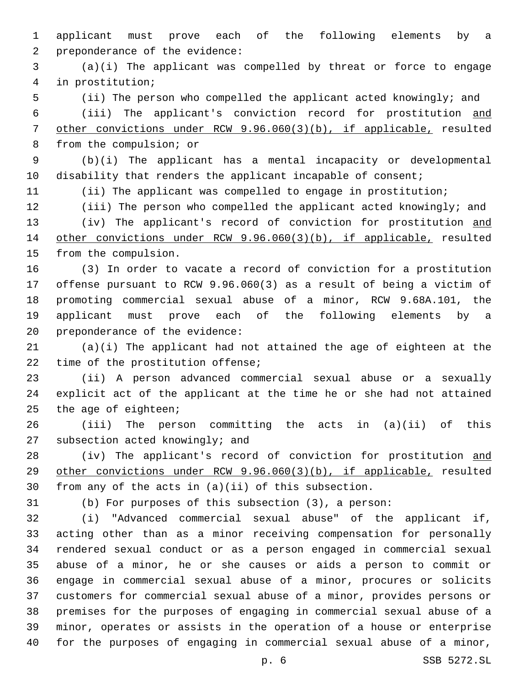applicant must prove each of the following elements by a 2 preponderance of the evidence:

 (a)(i) The applicant was compelled by threat or force to engage in prostitution;4

(ii) The person who compelled the applicant acted knowingly; and

 (iii) The applicant's conviction record for prostitution and other convictions under RCW 9.96.060(3)(b), if applicable, resulted 8 from the compulsion; or

 (b)(i) The applicant has a mental incapacity or developmental 10 disability that renders the applicant incapable of consent;

(ii) The applicant was compelled to engage in prostitution;

 (iii) The person who compelled the applicant acted knowingly; and 13 (iv) The applicant's record of conviction for prostitution and other convictions under RCW 9.96.060(3)(b), if applicable, resulted 15 from the compulsion.

 (3) In order to vacate a record of conviction for a prostitution offense pursuant to RCW 9.96.060(3) as a result of being a victim of promoting commercial sexual abuse of a minor, RCW 9.68A.101, the applicant must prove each of the following elements by a 20 preponderance of the evidence:

 (a)(i) The applicant had not attained the age of eighteen at the 22 time of the prostitution offense;

 (ii) A person advanced commercial sexual abuse or a sexually explicit act of the applicant at the time he or she had not attained the age of eighteen;

 (iii) The person committing the acts in (a)(ii) of this 27 subsection acted knowingly; and

28 (iv) The applicant's record of conviction for prostitution and other convictions under RCW 9.96.060(3)(b), if applicable, resulted from any of the acts in (a)(ii) of this subsection.

(b) For purposes of this subsection (3), a person:

 (i) "Advanced commercial sexual abuse" of the applicant if, acting other than as a minor receiving compensation for personally rendered sexual conduct or as a person engaged in commercial sexual abuse of a minor, he or she causes or aids a person to commit or engage in commercial sexual abuse of a minor, procures or solicits customers for commercial sexual abuse of a minor, provides persons or premises for the purposes of engaging in commercial sexual abuse of a minor, operates or assists in the operation of a house or enterprise for the purposes of engaging in commercial sexual abuse of a minor,